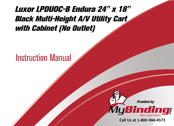## Luxor LPDUOC-B Endura 24" x 18" [Black Multi-Height A/V Utility Cart](https://www.mybinding.com/luxor-lpduoc-b-endura-24-x-18-black-multi-height-a-v-utility-cart-with-cabinet-no-outlet.html)  with Cabinet (No Outlet)

## Instruction Manual



Call Us at 1-800-944-4573